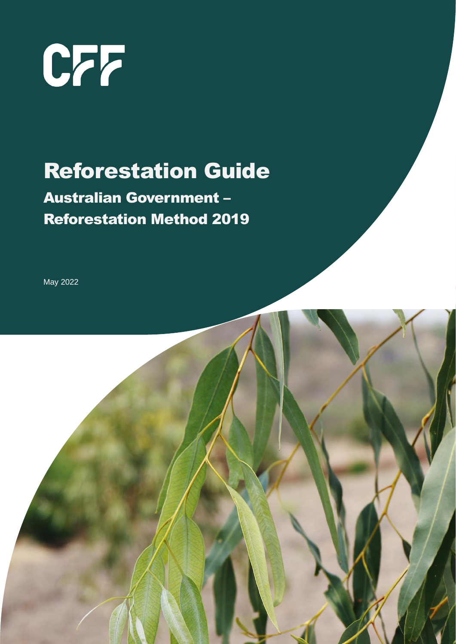

# Reforestation Guide

# Australian Government – Reforestation Method 2019

May 2022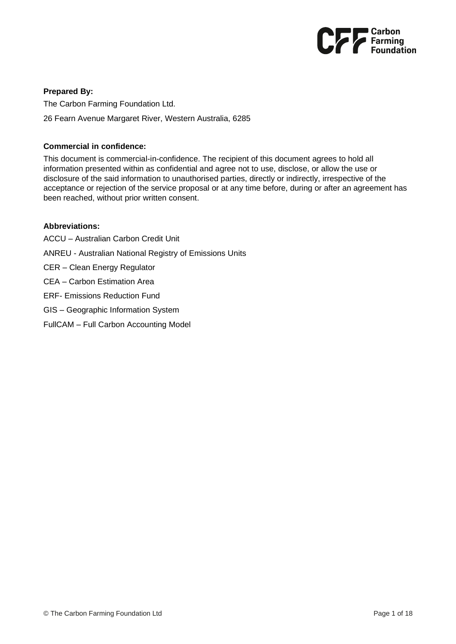

### **Prepared By:**

The Carbon Farming Foundation Ltd. 26 Fearn Avenue Margaret River, Western Australia, 6285

### **Commercial in confidence:**

This document is commercial-in-confidence. The recipient of this document agrees to hold all information presented within as confidential and agree not to use, disclose, or allow the use or disclosure of the said information to unauthorised parties, directly or indirectly, irrespective of the acceptance or rejection of the service proposal or at any time before, during or after an agreement has been reached, without prior written consent.

### **Abbreviations:**

- ACCU Australian Carbon Credit Unit
- ANREU Australian National Registry of Emissions Units
- CER Clean Energy Regulator
- CEA Carbon Estimation Area
- ERF- Emissions Reduction Fund
- GIS Geographic Information System
- FullCAM Full Carbon Accounting Model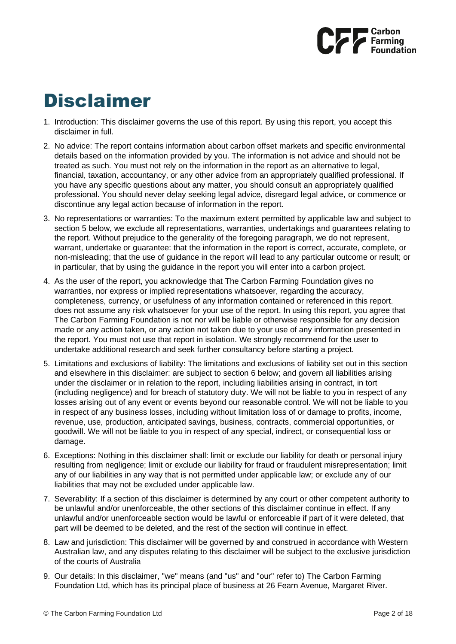

# Disclaimer

- 1. Introduction: This disclaimer governs the use of this report. By using this report, you accept this disclaimer in full.
- 2. No advice: The report contains information about carbon offset markets and specific environmental details based on the information provided by you. The information is not advice and should not be treated as such. You must not rely on the information in the report as an alternative to legal, financial, taxation, accountancy, or any other advice from an appropriately qualified professional. If you have any specific questions about any matter, you should consult an appropriately qualified professional. You should never delay seeking legal advice, disregard legal advice, or commence or discontinue any legal action because of information in the report.
- 3. No representations or warranties: To the maximum extent permitted by applicable law and subject to section 5 below, we exclude all representations, warranties, undertakings and guarantees relating to the report. Without prejudice to the generality of the foregoing paragraph, we do not represent, warrant, undertake or guarantee: that the information in the report is correct, accurate, complete, or non-misleading; that the use of guidance in the report will lead to any particular outcome or result; or in particular, that by using the guidance in the report you will enter into a carbon project.
- 4. As the user of the report, you acknowledge that The Carbon Farming Foundation gives no warranties, nor express or implied representations whatsoever, regarding the accuracy, completeness, currency, or usefulness of any information contained or referenced in this report. does not assume any risk whatsoever for your use of the report. In using this report, you agree that The Carbon Farming Foundation is not nor will be liable or otherwise responsible for any decision made or any action taken, or any action not taken due to your use of any information presented in the report. You must not use that report in isolation. We strongly recommend for the user to undertake additional research and seek further consultancy before starting a project.
- 5. Limitations and exclusions of liability: The limitations and exclusions of liability set out in this section and elsewhere in this disclaimer: are subject to section 6 below; and govern all liabilities arising under the disclaimer or in relation to the report, including liabilities arising in contract, in tort (including negligence) and for breach of statutory duty. We will not be liable to you in respect of any losses arising out of any event or events beyond our reasonable control. We will not be liable to you in respect of any business losses, including without limitation loss of or damage to profits, income, revenue, use, production, anticipated savings, business, contracts, commercial opportunities, or goodwill. We will not be liable to you in respect of any special, indirect, or consequential loss or damage.
- 6. Exceptions: Nothing in this disclaimer shall: limit or exclude our liability for death or personal injury resulting from negligence; limit or exclude our liability for fraud or fraudulent misrepresentation; limit any of our liabilities in any way that is not permitted under applicable law; or exclude any of our liabilities that may not be excluded under applicable law.
- 7. Severability: If a section of this disclaimer is determined by any court or other competent authority to be unlawful and/or unenforceable, the other sections of this disclaimer continue in effect. If any unlawful and/or unenforceable section would be lawful or enforceable if part of it were deleted, that part will be deemed to be deleted, and the rest of the section will continue in effect.
- 8. Law and jurisdiction: This disclaimer will be governed by and construed in accordance with Western Australian law, and any disputes relating to this disclaimer will be subject to the exclusive jurisdiction of the courts of Australia
- 9. Our details: In this disclaimer, "we" means (and "us" and "our" refer to) The Carbon Farming Foundation Ltd, which has its principal place of business at 26 Fearn Avenue, Margaret River.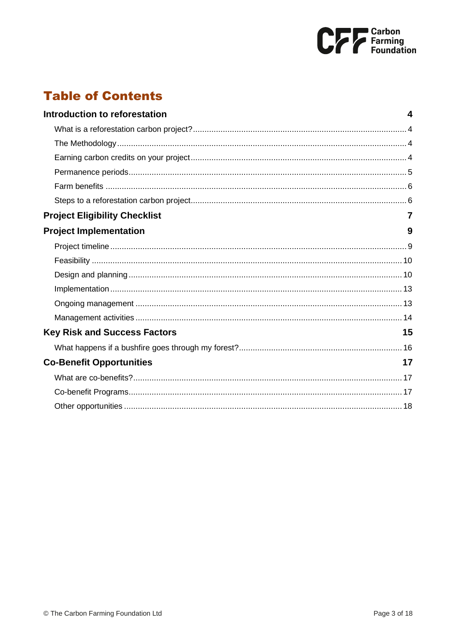

# **Table of Contents**

| Introduction to reforestation        | 4  |
|--------------------------------------|----|
|                                      |    |
|                                      |    |
|                                      |    |
|                                      |    |
|                                      |    |
|                                      |    |
| <b>Project Eligibility Checklist</b> |    |
| <b>Project Implementation</b>        | 9  |
|                                      |    |
|                                      |    |
|                                      |    |
|                                      |    |
|                                      |    |
|                                      |    |
| <b>Key Risk and Success Factors</b>  | 15 |
|                                      |    |
| <b>Co-Benefit Opportunities</b>      | 17 |
|                                      |    |
|                                      |    |
|                                      |    |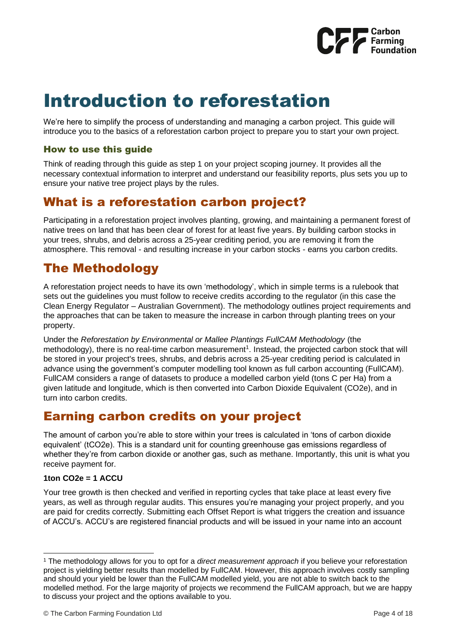

# <span id="page-4-0"></span>Introduction to reforestation

We're here to simplify the process of understanding and managing a carbon project. This guide will introduce you to the basics of a reforestation carbon project to prepare you to start your own project.

## How to use this guide

Think of reading through this guide as step 1 on your project scoping journey. It provides all the necessary contextual information to interpret and understand our feasibility reports, plus sets you up to ensure your native tree project plays by the rules.

## <span id="page-4-1"></span>What is a reforestation carbon project?

Participating in a reforestation project involves planting, growing, and maintaining a permanent forest of native trees on land that has been clear of forest for at least five years. By building carbon stocks in your trees, shrubs, and debris across a 25-year crediting period, you are removing it from the atmosphere. This removal - and resulting increase in your carbon stocks - earns you carbon credits.

## <span id="page-4-2"></span>The Methodology

A reforestation project needs to have its own 'methodology', which in simple terms is a rulebook that sets out the guidelines you must follow to receive credits according to the regulator (in this case the Clean Energy Regulator – Australian Government). The methodology outlines project requirements and the approaches that can be taken to measure the increase in carbon through planting trees on your property.

Under the *Reforestation by Environmental or Mallee Plantings FullCAM Methodology* (the methodology), there is no real-time carbon measurement<sup>1</sup>. Instead, the projected carbon stock that will be stored in your project's trees, shrubs, and debris across a 25-year crediting period is calculated in advance using the government's computer modelling tool known as full carbon accounting (FullCAM). FullCAM considers a range of datasets to produce a modelled carbon yield (tons C per Ha) from a given latitude and longitude, which is then converted into Carbon Dioxide Equivalent (CO2e), and in turn into carbon credits.

## <span id="page-4-3"></span>Earning carbon credits on your project

The amount of carbon you're able to store within your trees is calculated in 'tons of carbon dioxide equivalent' (tCO2e). This is a standard unit for counting greenhouse gas emissions regardless of whether they're from carbon dioxide or another gas, such as methane. Importantly, this unit is what you receive payment for.

## **1ton CO2e = 1 ACCU**

Your tree growth is then checked and verified in reporting cycles that take place at least every five years, as well as through regular audits. This ensures you're managing your project properly, and you are paid for credits correctly. Submitting each Offset Report is what triggers the creation and issuance of ACCU's. ACCU's are registered financial products and will be issued in your name into an account

<sup>1</sup> The methodology allows for you to opt for a *direct measurement approach* if you believe your reforestation project is yielding better results than modelled by FullCAM. However, this approach involves costly sampling and should your yield be lower than the FullCAM modelled yield, you are not able to switch back to the modelled method. For the large majority of projects we recommend the FullCAM approach, but we are happy to discuss your project and the options available to you.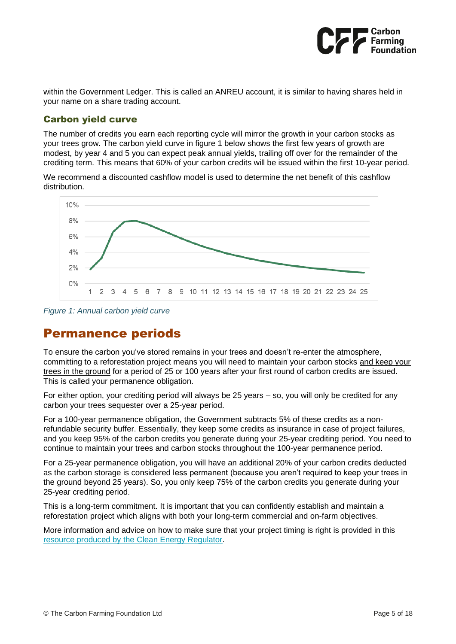

within the Government Ledger. This is called an ANREU account, it is similar to having shares held in your name on a share trading account.

## Carbon yield curve

The number of credits you earn each reporting cycle will mirror the growth in your carbon stocks as your trees grow. The carbon yield curve in figure 1 below shows the first few years of growth are modest, by year 4 and 5 you can expect peak annual yields, trailing off over for the remainder of the crediting term. This means that 60% of your carbon credits will be issued within the first 10-year period.

We recommend a discounted cashflow model is used to determine the net benefit of this cashflow distribution.



*Figure 1: Annual carbon yield curve*

## <span id="page-5-0"></span>Permanence periods

To ensure the carbon you've stored remains in your trees and doesn't re-enter the atmosphere, committing to a reforestation project means you will need to maintain your carbon stocks and keep your trees in the ground for a period of 25 or 100 years after your first round of carbon credits are issued. This is called your permanence obligation.

For either option, your crediting period will always be 25 years – so, you will only be credited for any carbon your trees sequester over a 25-year period.

For a 100-year permanence obligation, the Government subtracts 5% of these credits as a nonrefundable security buffer. Essentially, they keep some credits as insurance in case of project failures, and you keep 95% of the carbon credits you generate during your 25-year crediting period. You need to continue to maintain your trees and carbon stocks throughout the 100-year permanence period.

For a 25-year permanence obligation, you will have an additional 20% of your carbon credits deducted as the carbon storage is considered less permanent (because you aren't required to keep your trees in the ground beyond 25 years). So, you only keep 75% of the carbon credits you generate during your 25-year crediting period.

This is a long-term commitment. It is important that you can confidently establish and maintain a reforestation project which aligns with both your long-term commercial and on-farm objectives.

More information and advice on how to make sure that your project timing is right is provided in this [resource produced by the Clean Energy Regulator.](http://www.cleanenergyregulator.gov.au/DocumentAssets/Documents/Make%20sure%20your%20timing%20is%20right%20information%20sheet.pdf)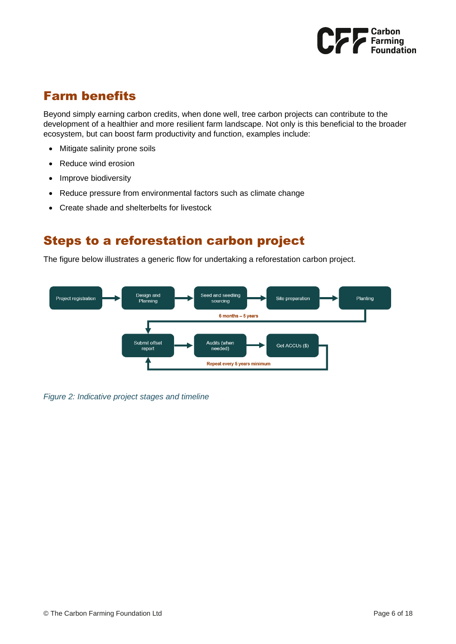

## <span id="page-6-0"></span>Farm benefits

Beyond simply earning carbon credits, when done well, tree carbon projects can contribute to the development of a healthier and more resilient farm landscape. Not only is this beneficial to the broader ecosystem, but can boost farm productivity and function, examples include:

- Mitigate salinity prone soils
- Reduce wind erosion
- Improve biodiversity
- Reduce pressure from environmental factors such as climate change
- Create shade and shelterbelts for livestock

## <span id="page-6-1"></span>Steps to a reforestation carbon project

The figure below illustrates a generic flow for undertaking a reforestation carbon project.



*Figure 2: Indicative project stages and timeline*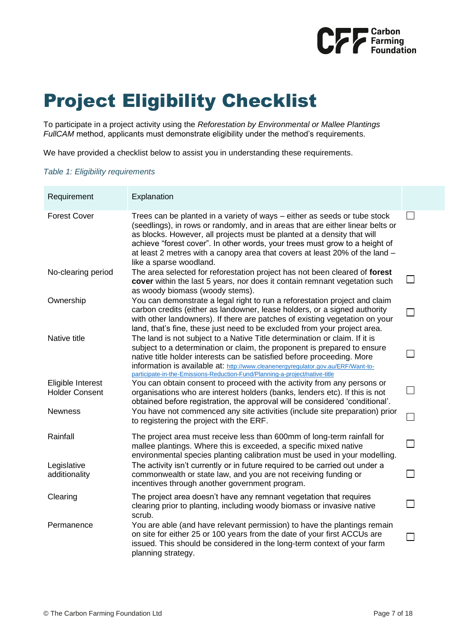

# <span id="page-7-0"></span>Project Eligibility Checklist

To participate in a project activity using the *Reforestation by Environmental or Mallee Plantings FullCAM* method, applicants must demonstrate eligibility under the method's requirements.

We have provided a checklist below to assist you in understanding these requirements.

#### *Table 1: Eligibility requirements*

| Requirement                                | Explanation                                                                                                                                                                                                                                                                                                                                                                                                                     |                             |
|--------------------------------------------|---------------------------------------------------------------------------------------------------------------------------------------------------------------------------------------------------------------------------------------------------------------------------------------------------------------------------------------------------------------------------------------------------------------------------------|-----------------------------|
| <b>Forest Cover</b>                        | Trees can be planted in a variety of ways – either as seeds or tube stock<br>(seedlings), in rows or randomly, and in areas that are either linear belts or<br>as blocks. However, all projects must be planted at a density that will<br>achieve "forest cover". In other words, your trees must grow to a height of<br>at least 2 metres with a canopy area that covers at least 20% of the land -<br>like a sparse woodland. |                             |
| No-clearing period                         | The area selected for reforestation project has not been cleared of forest<br>cover within the last 5 years, nor does it contain remnant vegetation such<br>as woody biomass (woody stems).                                                                                                                                                                                                                                     | $\sim$                      |
| Ownership                                  | You can demonstrate a legal right to run a reforestation project and claim<br>carbon credits (either as landowner, lease holders, or a signed authority<br>with other landowners). If there are patches of existing vegetation on your<br>land, that's fine, these just need to be excluded from your project area.                                                                                                             |                             |
| Native title                               | The land is not subject to a Native Title determination or claim. If it is<br>subject to a determination or claim, the proponent is prepared to ensure<br>native title holder interests can be satisfied before proceeding. More<br>information is available at: http://www.cleanenergyregulator.gov.au/ERF/Want-to-<br>participate-in-the-Emissions-Reduction-Fund/Planning-a-project/native-title                             |                             |
| Eligible Interest<br><b>Holder Consent</b> | You can obtain consent to proceed with the activity from any persons or<br>organisations who are interest holders (banks, lenders etc). If this is not<br>obtained before registration, the approval will be considered 'conditional'.                                                                                                                                                                                          | $\mathcal{L}_{\mathcal{A}}$ |
| <b>Newness</b>                             | You have not commenced any site activities (include site preparation) prior<br>to registering the project with the ERF.                                                                                                                                                                                                                                                                                                         |                             |
| Rainfall                                   | The project area must receive less than 600mm of long-term rainfall for<br>mallee plantings. Where this is exceeded, a specific mixed native<br>environmental species planting calibration must be used in your modelling.                                                                                                                                                                                                      | $\overline{\phantom{0}}$    |
| Legislative<br>additionality               | The activity isn't currently or in future required to be carried out under a<br>commonwealth or state law, and you are not receiving funding or<br>incentives through another government program.                                                                                                                                                                                                                               |                             |
| Clearing                                   | The project area doesn't have any remnant vegetation that requires<br>clearing prior to planting, including woody biomass or invasive native<br>scrub.                                                                                                                                                                                                                                                                          | $\sim$                      |
| Permanence                                 | You are able (and have relevant permission) to have the plantings remain<br>on site for either 25 or 100 years from the date of your first ACCUs are<br>issued. This should be considered in the long-term context of your farm<br>planning strategy.                                                                                                                                                                           |                             |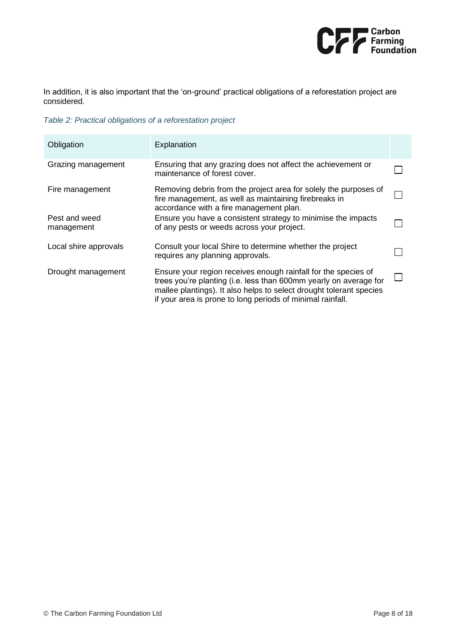

In addition, it is also important that the 'on-ground' practical obligations of a reforestation project are considered.

*Table 2: Practical obligations of a reforestation project*

| Obligation                  | Explanation                                                                                                                                                                                                                                                              |  |
|-----------------------------|--------------------------------------------------------------------------------------------------------------------------------------------------------------------------------------------------------------------------------------------------------------------------|--|
| Grazing management          | Ensuring that any grazing does not affect the achievement or<br>maintenance of forest cover.                                                                                                                                                                             |  |
| Fire management             | Removing debris from the project area for solely the purposes of<br>fire management, as well as maintaining firebreaks in<br>accordance with a fire management plan.                                                                                                     |  |
| Pest and weed<br>management | Ensure you have a consistent strategy to minimise the impacts<br>of any pests or weeds across your project.                                                                                                                                                              |  |
| Local shire approvals       | Consult your local Shire to determine whether the project<br>requires any planning approvals.                                                                                                                                                                            |  |
| Drought management          | Ensure your region receives enough rainfall for the species of<br>trees you're planting (i.e. less than 600mm yearly on average for<br>mallee plantings). It also helps to select drought tolerant species<br>if your area is prone to long periods of minimal rainfall. |  |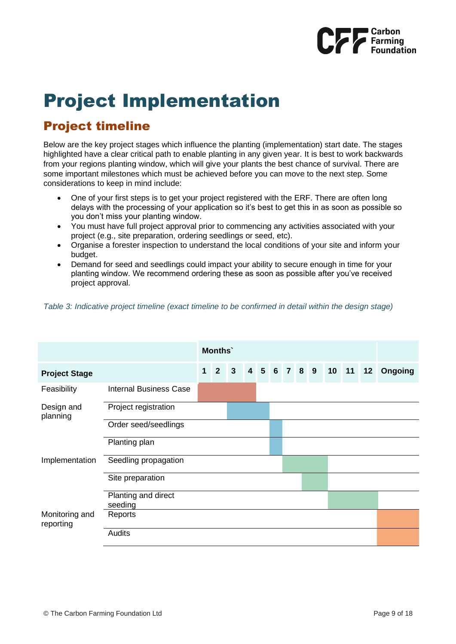

# <span id="page-9-0"></span>Project Implementation

# <span id="page-9-1"></span>Project timeline

Below are the key project stages which influence the planting (implementation) start date. The stages highlighted have a clear critical path to enable planting in any given year. It is best to work backwards from your regions planting window, which will give your plants the best chance of survival. There are some important milestones which must be achieved before you can move to the next step. Some considerations to keep in mind include:

- One of your first steps is to get your project registered with the ERF. There are often long delays with the processing of your application so it's best to get this in as soon as possible so you don't miss your planting window.
- You must have full project approval prior to commencing any activities associated with your project (e.g., site preparation, ordering seedlings or seed, etc).
- Organise a forester inspection to understand the local conditions of your site and inform your budget.
- Demand for seed and seedlings could impact your ability to secure enough in time for your planting window. We recommend ordering these as soon as possible after you've received project approval.

*Table 3: Indicative project timeline (exact timeline to be confirmed in detail within the design stage)*

|                             | Months'                       |             |                |                |  |  |  |             |  |       |  |    |         |
|-----------------------------|-------------------------------|-------------|----------------|----------------|--|--|--|-------------|--|-------|--|----|---------|
| <b>Project Stage</b>        |                               | $\mathbf 1$ | $\overline{2}$ | $\overline{3}$ |  |  |  | 4 5 6 7 8 9 |  | 10 11 |  | 12 | Ongoing |
| Feasibility                 | <b>Internal Business Case</b> |             |                |                |  |  |  |             |  |       |  |    |         |
| Design and<br>planning      | Project registration          |             |                |                |  |  |  |             |  |       |  |    |         |
|                             | Order seed/seedlings          |             |                |                |  |  |  |             |  |       |  |    |         |
|                             | Planting plan                 |             |                |                |  |  |  |             |  |       |  |    |         |
| Implementation              | Seedling propagation          |             |                |                |  |  |  |             |  |       |  |    |         |
|                             | Site preparation              |             |                |                |  |  |  |             |  |       |  |    |         |
|                             | Planting and direct           |             |                |                |  |  |  |             |  |       |  |    |         |
|                             | seeding                       |             |                |                |  |  |  |             |  |       |  |    |         |
| Monitoring and<br>reporting | Reports                       |             |                |                |  |  |  |             |  |       |  |    |         |
|                             | Audits                        |             |                |                |  |  |  |             |  |       |  |    |         |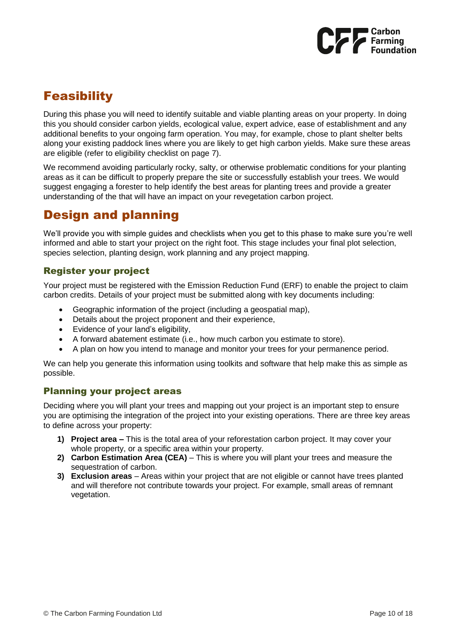

# <span id="page-10-0"></span>**Feasibility**

During this phase you will need to identify suitable and viable planting areas on your property. In doing this you should consider carbon yields, ecological value, expert advice, ease of establishment and any additional benefits to your ongoing farm operation. You may, for example, chose to plant shelter belts along your existing paddock lines where you are likely to get high carbon yields. Make sure these areas are eligible (refer to eligibility checklist on page 7).

We recommend avoiding particularly rocky, salty, or otherwise problematic conditions for your planting areas as it can be difficult to properly prepare the site or successfully establish your trees. We would suggest engaging a forester to help identify the best areas for planting trees and provide a greater understanding of the that will have an impact on your revegetation carbon project.

# <span id="page-10-1"></span>Design and planning

We'll provide you with simple guides and checklists when you get to this phase to make sure you're well informed and able to start your project on the right foot. This stage includes your final plot selection, species selection, planting design, work planning and any project mapping.

## Register your project

Your project must be registered with the Emission Reduction Fund (ERF) to enable the project to claim carbon credits. Details of your project must be submitted along with key documents including:

- Geographic information of the project (including a geospatial map),
- Details about the project proponent and their experience,
- Evidence of your land's eligibility,
- A forward abatement estimate (i.e., how much carbon you estimate to store).
- A plan on how you intend to manage and monitor your trees for your permanence period.

We can help you generate this information using toolkits and software that help make this as simple as possible.

## Planning your project areas

Deciding where you will plant your trees and mapping out your project is an important step to ensure you are optimising the integration of the project into your existing operations. There are three key areas to define across your property:

- **1) Project area –** This is the total area of your reforestation carbon project. It may cover your whole property, or a specific area within your property.
- **2) Carbon Estimation Area (CEA)** This is where you will plant your trees and measure the sequestration of carbon.
- **3) Exclusion areas**  Areas within your project that are not eligible or cannot have trees planted and will therefore not contribute towards your project. For example, small areas of remnant vegetation.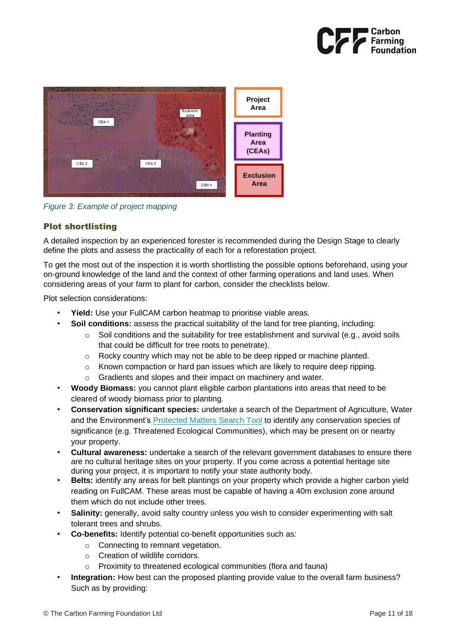



*Figure 3: Example of project mapping*

## Plot shortlisting

A detailed inspection by an experienced forester is recommended during the Design Stage to clearly define the plots and assess the practicality of each for a reforestation project.

To get the most out of the inspection it is worth shortlisting the possible options beforehand, using your on-ground knowledge of the land and the context of other farming operations and land uses. When considering areas of your farm to plant for carbon, consider the checklists below.

Plot selection considerations:

- **Yield:** Use your FullCAM carbon heatmap to prioritise viable areas.
- **Soil conditions:** assess the practical suitability of the land for tree planting, including:
	- $\circ$  Soil conditions and the suitability for tree establishment and survival (e.g., avoid soils that could be difficult for tree roots to penetrate).
	- o Rocky country which may not be able to be deep ripped or machine planted.
	- $\circ$  Known compaction or hard pan issues which are likely to require deep ripping.
	- Gradients and slopes and their impact on machinery and water.
- **Woody Biomass:** you cannot plant eligible carbon plantations into areas that need to be cleared of woody biomass prior to planting.
- **Conservation significant species:** undertake a search of the Department of Agriculture, Water and the Environment's [Protected Matters Search Tool](https://www.awe.gov.au/environment/epbc/protected-matters-search-tool) to identify any conservation species of significance (e.g. Threatened Ecological Communities), which may be present on or nearby your property.
- **Cultural awareness:** undertake a search of the relevant government databases to ensure there are no cultural heritage sites on your property. If you come across a potential heritage site during your project, it is important to notify your state authority body.
- **Belts:** identify any areas for belt plantings on your property which provide a higher carbon yield reading on FullCAM. These areas must be capable of having a 40m exclusion zone around them which do not include other trees.
- **Salinity:** generally, avoid salty country unless you wish to consider experimenting with salt tolerant trees and shrubs.
- **Co-benefits:** Identify potential co-benefit opportunities such as:
	- o Connecting to remnant vegetation.
	- o Creation of wildlife corridors.
	- Proximity to threatened ecological communities (flora and fauna)
- **Integration:** How best can the proposed planting provide value to the overall farm business? Such as by providing: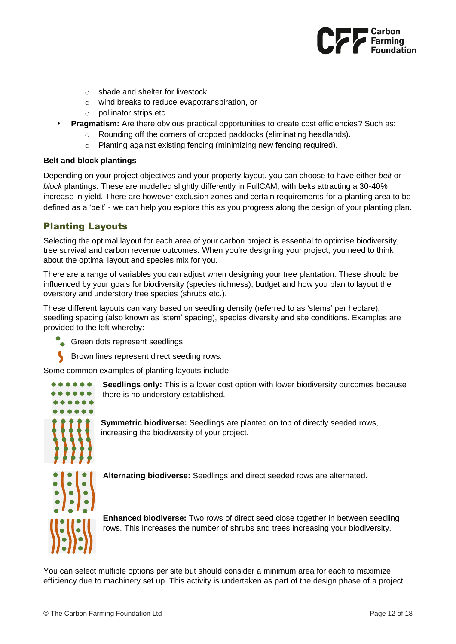

- o shade and shelter for livestock,
- o wind breaks to reduce evapotranspiration, or
- o pollinator strips etc.
- **Pragmatism:** Are there obvious practical opportunities to create cost efficiencies? Such as:
	- Rounding off the corners of cropped paddocks (eliminating headlands).
	- o Planting against existing fencing (minimizing new fencing required).

#### **Belt and block plantings**

Depending on your project objectives and your property layout, you can choose to have either *belt* or *block* plantings. These are modelled slightly differently in FullCAM, with belts attracting a 30-40% increase in yield. There are however exclusion zones and certain requirements for a planting area to be defined as a 'belt' - we can help you explore this as you progress along the design of your planting plan.

## Planting Layouts

Selecting the optimal layout for each area of your carbon project is essential to optimise biodiversity, tree survival and carbon revenue outcomes. When you're designing your project, you need to think about the optimal layout and species mix for you.

There are a range of variables you can adjust when designing your tree plantation. These should be influenced by your goals for biodiversity (species richness), budget and how you plan to layout the overstory and understory tree species (shrubs etc.).

These different layouts can vary based on seedling density (referred to as 'stems' per hectare), seedling spacing (also known as 'stem' spacing), species diversity and site conditions. Examples are provided to the left whereby:

- Green dots represent seedlings
	- Brown lines represent direct seeding rows.

Some common examples of planting layouts include:



**Seedlings only:** This is a lower cost option with lower biodiversity outcomes because there is no understory established.

**Symmetric biodiverse:** Seedlings are planted on top of directly seeded rows, increasing the biodiversity of your project.

**Alternating biodiverse:** Seedlings and direct seeded rows are alternated.

**Enhanced biodiverse:** Two rows of direct seed close together in between seedling rows. This increases the number of shrubs and trees increasing your biodiversity.

You can select multiple options per site but should consider a minimum area for each to maximize efficiency due to machinery set up. This activity is undertaken as part of the design phase of a project.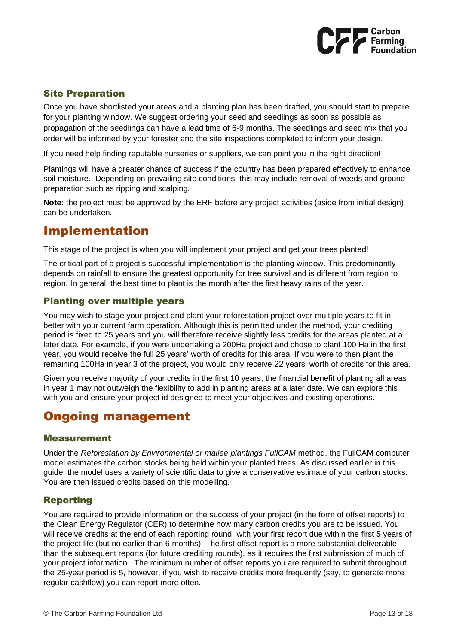

## Site Preparation

Once you have shortlisted your areas and a planting plan has been drafted, you should start to prepare for your planting window. We suggest ordering your seed and seedlings as soon as possible as propagation of the seedlings can have a lead time of 6-9 months. The seedlings and seed mix that you order will be informed by your forester and the site inspections completed to inform your design.

If you need help finding reputable nurseries or suppliers, we can point you in the right direction!

Plantings will have a greater chance of success if the country has been prepared effectively to enhance soil moisture. Depending on prevailing site conditions, this may include removal of weeds and ground preparation such as ripping and scalping.

**Note:** the project must be approved by the ERF before any project activities (aside from initial design) can be undertaken.

## <span id="page-13-0"></span>Implementation

This stage of the project is when you will implement your project and get your trees planted!

The critical part of a project's successful implementation is the planting window. This predominantly depends on rainfall to ensure the greatest opportunity for tree survival and is different from region to region. In general, the best time to plant is the month after the first heavy rains of the year.

## Planting over multiple years

You may wish to stage your project and plant your reforestation project over multiple years to fit in better with your current farm operation. Although this is permitted under the method, your crediting period is fixed to 25 years and you will therefore receive slightly less credits for the areas planted at a later date. For example, if you were undertaking a 200Ha project and chose to plant 100 Ha in the first year, you would receive the full 25 years' worth of credits for this area. If you were to then plant the remaining 100Ha in year 3 of the project, you would only receive 22 years' worth of credits for this area.

Given you receive majority of your credits in the first 10 years, the financial benefit of planting all areas in year 1 may not outweigh the flexibility to add in planting areas at a later date. We can explore this with you and ensure your project id designed to meet your objectives and existing operations.

## <span id="page-13-1"></span>Ongoing management

## Measurement

Under the *Reforestation by Environmental or mallee plantings FullCAM* method, the FullCAM computer model estimates the carbon stocks being held within your planted trees. As discussed earlier in this guide, the model uses a variety of scientific data to give a conservative estimate of your carbon stocks. You are then issued credits based on this modelling.

## Reporting

You are required to provide information on the success of your project (in the form of offset reports) to the Clean Energy Regulator (CER) to determine how many carbon credits you are to be issued. You will receive credits at the end of each reporting round, with your first report due within the first 5 years of the project life (but no earlier than 6 months). The first offset report is a more substantial deliverable than the subsequent reports (for future crediting rounds), as it requires the first submission of much of your project information. The minimum number of offset reports you are required to submit throughout the 25-year period is 5, however, if you wish to receive credits more frequently (say, to generate more regular cashflow) you can report more often.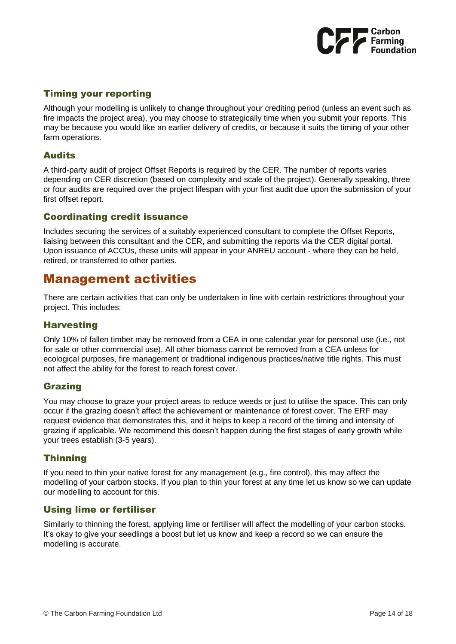

## Timing your reporting

Although your modelling is unlikely to change throughout your crediting period (unless an event such as fire impacts the project area), you may choose to strategically time when you submit your reports. This may be because you would like an earlier delivery of credits, or because it suits the timing of your other farm operations.

## **Audits**

A third-party audit of project Offset Reports is required by the CER. The number of reports varies depending on CER discretion (based on complexity and scale of the project). Generally speaking, three or four audits are required over the project lifespan with your first audit due upon the submission of your first offset report.

## Coordinating credit issuance

Includes securing the services of a suitably experienced consultant to complete the Offset Reports, liaising between this consultant and the CER, and submitting the reports via the CER digital portal. Upon issuance of ACCUs, these units will appear in your ANREU account - where they can be held, retired, or transferred to other parties.

## <span id="page-14-0"></span>Management activities

There are certain activities that can only be undertaken in line with certain restrictions throughout your project. This includes:

## **Harvesting**

Only 10% of fallen timber may be removed from a CEA in one calendar year for personal use (i.e., not for sale or other commercial use). All other biomass cannot be removed from a CEA unless for ecological purposes, fire management or traditional indigenous practices/native title rights. This must not affect the ability for the forest to reach forest cover.

## Grazing

You may choose to graze your project areas to reduce weeds or just to utilise the space. This can only occur if the grazing doesn't affect the achievement or maintenance of forest cover. The ERF may request evidence that demonstrates this, and it helps to keep a record of the timing and intensity of grazing if applicable. We recommend this doesn't happen during the first stages of early growth while your trees establish (3-5 years).

## **Thinning**

If you need to thin your native forest for any management (e.g., fire control), this may affect the modelling of your carbon stocks. If you plan to thin your forest at any time let us know so we can update our modelling to account for this.

## Using lime or fertiliser

Similarly to thinning the forest, applying lime or fertiliser will affect the modelling of your carbon stocks. It's okay to give your seedlings a boost but let us know and keep a record so we can ensure the modelling is accurate.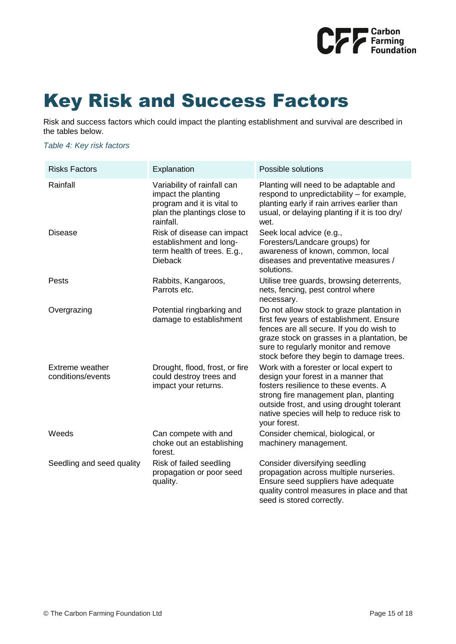

# <span id="page-15-0"></span>Key Risk and Success Factors

Risk and success factors which could impact the planting establishment and survival are described in the tables below.

*Table 4: Key risk factors*

| <b>Risks Factors</b>                 | Explanation                                                                                                                  | Possible solutions                                                                                                                                                                                                                                                          |
|--------------------------------------|------------------------------------------------------------------------------------------------------------------------------|-----------------------------------------------------------------------------------------------------------------------------------------------------------------------------------------------------------------------------------------------------------------------------|
| Rainfall                             | Variability of rainfall can<br>impact the planting<br>program and it is vital to<br>plan the plantings close to<br>rainfall. | Planting will need to be adaptable and<br>respond to unpredictability – for example,<br>planting early if rain arrives earlier than<br>usual, or delaying planting if it is too dry/<br>wet.                                                                                |
| <b>Disease</b>                       | Risk of disease can impact<br>establishment and long-<br>term health of trees. E.g.,<br><b>Dieback</b>                       | Seek local advice (e.g.,<br>Foresters/Landcare groups) for<br>awareness of known, common, local<br>diseases and preventative measures /<br>solutions.                                                                                                                       |
| Pests                                | Rabbits, Kangaroos,<br>Parrots etc.                                                                                          | Utilise tree guards, browsing deterrents,<br>nets, fencing, pest control where<br>necessary.                                                                                                                                                                                |
| Overgrazing                          | Potential ringbarking and<br>damage to establishment                                                                         | Do not allow stock to graze plantation in<br>first few years of establishment. Ensure<br>fences are all secure. If you do wish to<br>graze stock on grasses in a plantation, be<br>sure to regularly monitor and remove<br>stock before they begin to damage trees.         |
| Extreme weather<br>conditions/events | Drought, flood, frost, or fire<br>could destroy trees and<br>impact your returns.                                            | Work with a forester or local expert to<br>design your forest in a manner that<br>fosters resilience to these events. A<br>strong fire management plan, planting<br>outside frost, and using drought tolerant<br>native species will help to reduce risk to<br>your forest. |
| Weeds                                | Can compete with and<br>choke out an establishing<br>forest.                                                                 | Consider chemical, biological, or<br>machinery management.                                                                                                                                                                                                                  |
| Seedling and seed quality            | Risk of failed seedling<br>propagation or poor seed<br>quality.                                                              | Consider diversifying seedling<br>propagation across multiple nurseries.<br>Ensure seed suppliers have adequate<br>quality control measures in place and that<br>seed is stored correctly.                                                                                  |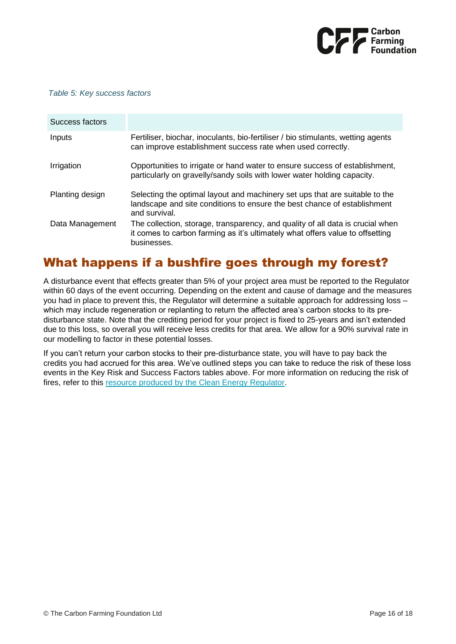

#### *Table 5: Key success factors*

| Success factors |                                                                                                                                                                                |
|-----------------|--------------------------------------------------------------------------------------------------------------------------------------------------------------------------------|
| Inputs          | Fertiliser, biochar, inoculants, bio-fertiliser / bio stimulants, wetting agents<br>can improve establishment success rate when used correctly.                                |
| Irrigation      | Opportunities to irrigate or hand water to ensure success of establishment,<br>particularly on gravelly/sandy soils with lower water holding capacity.                         |
| Planting design | Selecting the optimal layout and machinery set ups that are suitable to the<br>landscape and site conditions to ensure the best chance of establishment<br>and survival.       |
| Data Management | The collection, storage, transparency, and quality of all data is crucial when<br>it comes to carbon farming as it's ultimately what offers value to offsetting<br>businesses. |

## <span id="page-16-0"></span>What happens if a bushfire goes through my forest?

A disturbance event that effects greater than 5% of your project area must be reported to the Regulator within 60 days of the event occurring. Depending on the extent and cause of damage and the measures you had in place to prevent this, the Regulator will determine a suitable approach for addressing loss – which may include regeneration or replanting to return the affected area's carbon stocks to its predisturbance state. Note that the crediting period for your project is fixed to 25-years and isn't extended due to this loss, so overall you will receive less credits for that area. We allow for a 90% survival rate in our modelling to factor in these potential losses.

If you can't return your carbon stocks to their pre-disturbance state, you will have to pay back the credits you had accrued for this area. We've outlined steps you can take to reduce the risk of these loss events in the Key Risk and Success Factors tables above. For more information on reducing the risk of fires, refer to this [resource produced by the Clean Energy Regulator.](http://www.cleanenergyregulator.gov.au/DocumentAssets/Documents/Reducing%20the%20risk%20of%20fire%20and%20preserving%20sequestered%20carbon%20in%20ERF%20vegetation%20projects%20v0.1.pdf)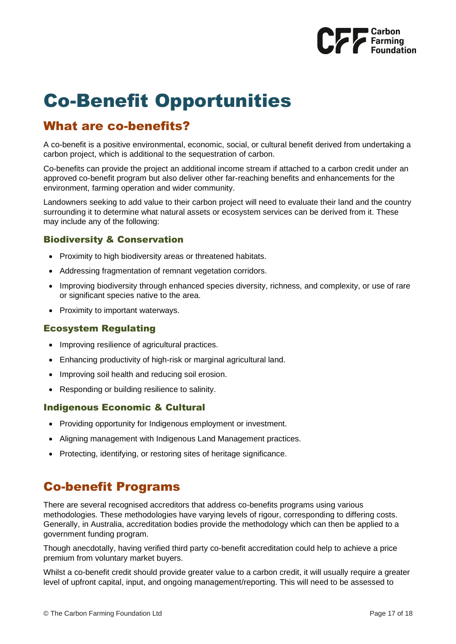

# <span id="page-17-0"></span>Co-Benefit Opportunities

## <span id="page-17-1"></span>What are co-benefits?

A co-benefit is a positive environmental, economic, social, or cultural benefit derived from undertaking a carbon project, which is additional to the sequestration of carbon.

Co-benefits can provide the project an additional income stream if attached to a carbon credit under an approved co-benefit program but also deliver other far-reaching benefits and enhancements for the environment, farming operation and wider community.

Landowners seeking to add value to their carbon project will need to evaluate their land and the country surrounding it to determine what natural assets or ecosystem services can be derived from it. These may include any of the following:

## Biodiversity & Conservation

- Proximity to high biodiversity areas or threatened habitats.
- Addressing fragmentation of remnant vegetation corridors.
- Improving biodiversity through enhanced species diversity, richness, and complexity, or use of rare or significant species native to the area.
- Proximity to important waterways.

## Ecosystem Regulating

- Improving resilience of agricultural practices.
- Enhancing productivity of high-risk or marginal agricultural land.
- Improving soil health and reducing soil erosion.
- Responding or building resilience to salinity.

## Indigenous Economic & Cultural

- Providing opportunity for Indigenous employment or investment.
- Aligning management with Indigenous Land Management practices.
- Protecting, identifying, or restoring sites of heritage significance.

## <span id="page-17-2"></span>Co-benefit Programs

There are several recognised accreditors that address co-benefits programs using various methodologies. These methodologies have varying levels of rigour, corresponding to differing costs. Generally, in Australia, accreditation bodies provide the methodology which can then be applied to a government funding program.

Though anecdotally, having verified third party co-benefit accreditation could help to achieve a price premium from voluntary market buyers.

Whilst a co-benefit credit should provide greater value to a carbon credit, it will usually require a greater level of upfront capital, input, and ongoing management/reporting. This will need to be assessed to